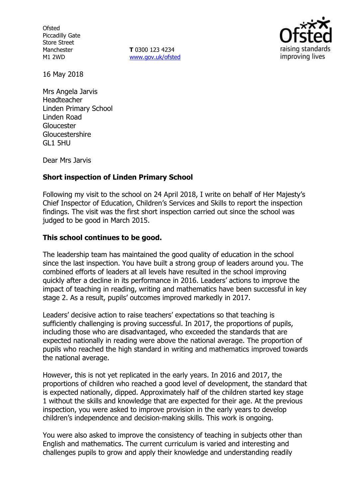**Ofsted** Piccadilly Gate Store Street Manchester M1 2WD

**T** 0300 123 4234 www.gov.uk/ofsted



16 May 2018

Mrs Angela Jarvis Headteacher Linden Primary School Linden Road Gloucester **Gloucestershire** GL1 5HU

Dear Mrs Jarvis

# **Short inspection of Linden Primary School**

Following my visit to the school on 24 April 2018, I write on behalf of Her Majesty's Chief Inspector of Education, Children's Services and Skills to report the inspection findings. The visit was the first short inspection carried out since the school was judged to be good in March 2015.

# **This school continues to be good.**

The leadership team has maintained the good quality of education in the school since the last inspection. You have built a strong group of leaders around you. The combined efforts of leaders at all levels have resulted in the school improving quickly after a decline in its performance in 2016. Leaders' actions to improve the impact of teaching in reading, writing and mathematics have been successful in key stage 2. As a result, pupils' outcomes improved markedly in 2017.

Leaders' decisive action to raise teachers' expectations so that teaching is sufficiently challenging is proving successful. In 2017, the proportions of pupils, including those who are disadvantaged, who exceeded the standards that are expected nationally in reading were above the national average. The proportion of pupils who reached the high standard in writing and mathematics improved towards the national average.

However, this is not yet replicated in the early years. In 2016 and 2017, the proportions of children who reached a good level of development, the standard that is expected nationally, dipped. Approximately half of the children started key stage 1 without the skills and knowledge that are expected for their age. At the previous inspection, you were asked to improve provision in the early years to develop children's independence and decision-making skills. This work is ongoing.

You were also asked to improve the consistency of teaching in subjects other than English and mathematics. The current curriculum is varied and interesting and challenges pupils to grow and apply their knowledge and understanding readily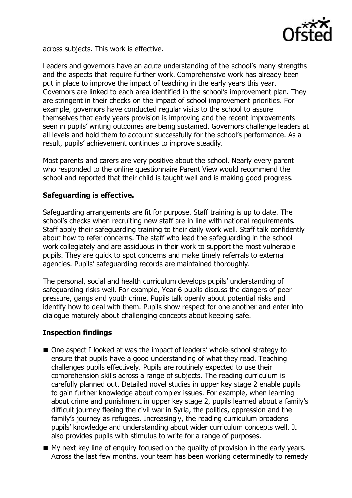

across subjects. This work is effective.

Leaders and governors have an acute understanding of the school's many strengths and the aspects that require further work. Comprehensive work has already been put in place to improve the impact of teaching in the early years this year. Governors are linked to each area identified in the school's improvement plan. They are stringent in their checks on the impact of school improvement priorities. For example, governors have conducted regular visits to the school to assure themselves that early years provision is improving and the recent improvements seen in pupils' writing outcomes are being sustained. Governors challenge leaders at all levels and hold them to account successfully for the school's performance. As a result, pupils' achievement continues to improve steadily.

Most parents and carers are very positive about the school. Nearly every parent who responded to the online questionnaire Parent View would recommend the school and reported that their child is taught well and is making good progress.

# **Safeguarding is effective.**

Safeguarding arrangements are fit for purpose. Staff training is up to date. The school's checks when recruiting new staff are in line with national requirements. Staff apply their safeguarding training to their daily work well. Staff talk confidently about how to refer concerns. The staff who lead the safeguarding in the school work collegiately and are assiduous in their work to support the most vulnerable pupils. They are quick to spot concerns and make timely referrals to external agencies. Pupils' safeguarding records are maintained thoroughly.

The personal, social and health curriculum develops pupils' understanding of safeguarding risks well. For example, Year 6 pupils discuss the dangers of peer pressure, gangs and youth crime. Pupils talk openly about potential risks and identify how to deal with them. Pupils show respect for one another and enter into dialogue maturely about challenging concepts about keeping safe.

# **Inspection findings**

- One aspect I looked at was the impact of leaders' whole-school strategy to ensure that pupils have a good understanding of what they read. Teaching challenges pupils effectively. Pupils are routinely expected to use their comprehension skills across a range of subjects. The reading curriculum is carefully planned out. Detailed novel studies in upper key stage 2 enable pupils to gain further knowledge about complex issues. For example, when learning about crime and punishment in upper key stage 2, pupils learned about a family's difficult journey fleeing the civil war in Syria, the politics, oppression and the family's journey as refugees. Increasingly, the reading curriculum broadens pupils' knowledge and understanding about wider curriculum concepts well. It also provides pupils with stimulus to write for a range of purposes.
- My next key line of enquiry focused on the quality of provision in the early years. Across the last few months, your team has been working determinedly to remedy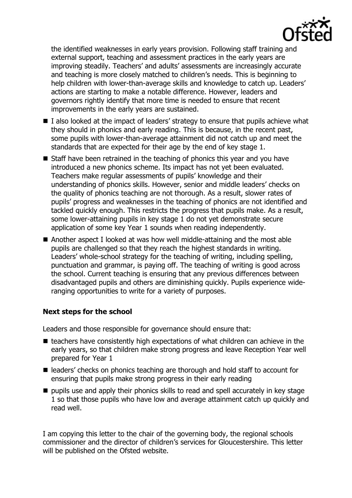

the identified weaknesses in early years provision. Following staff training and external support, teaching and assessment practices in the early years are improving steadily. Teachers' and adults' assessments are increasingly accurate and teaching is more closely matched to children's needs. This is beginning to help children with lower-than-average skills and knowledge to catch up. Leaders' actions are starting to make a notable difference. However, leaders and governors rightly identify that more time is needed to ensure that recent improvements in the early years are sustained.

- I also looked at the impact of leaders' strategy to ensure that pupils achieve what they should in phonics and early reading. This is because, in the recent past, some pupils with lower-than-average attainment did not catch up and meet the standards that are expected for their age by the end of key stage 1.
- Staff have been retrained in the teaching of phonics this year and you have introduced a new phonics scheme. Its impact has not yet been evaluated. Teachers make regular assessments of pupils' knowledge and their understanding of phonics skills. However, senior and middle leaders' checks on the quality of phonics teaching are not thorough. As a result, slower rates of pupils' progress and weaknesses in the teaching of phonics are not identified and tackled quickly enough. This restricts the progress that pupils make. As a result, some lower-attaining pupils in key stage 1 do not yet demonstrate secure application of some key Year 1 sounds when reading independently.
- Another aspect I looked at was how well middle-attaining and the most able pupils are challenged so that they reach the highest standards in writing. Leaders' whole-school strategy for the teaching of writing, including spelling, punctuation and grammar, is paying off. The teaching of writing is good across the school. Current teaching is ensuring that any previous differences between disadvantaged pupils and others are diminishing quickly. Pupils experience wideranging opportunities to write for a variety of purposes.

# **Next steps for the school**

Leaders and those responsible for governance should ensure that:

- $\blacksquare$  teachers have consistently high expectations of what children can achieve in the early years, so that children make strong progress and leave Reception Year well prepared for Year 1
- leaders' checks on phonics teaching are thorough and hold staff to account for ensuring that pupils make strong progress in their early reading
- $\blacksquare$  pupils use and apply their phonics skills to read and spell accurately in key stage 1 so that those pupils who have low and average attainment catch up quickly and read well.

I am copying this letter to the chair of the governing body, the regional schools commissioner and the director of children's services for Gloucestershire. This letter will be published on the Ofsted website.